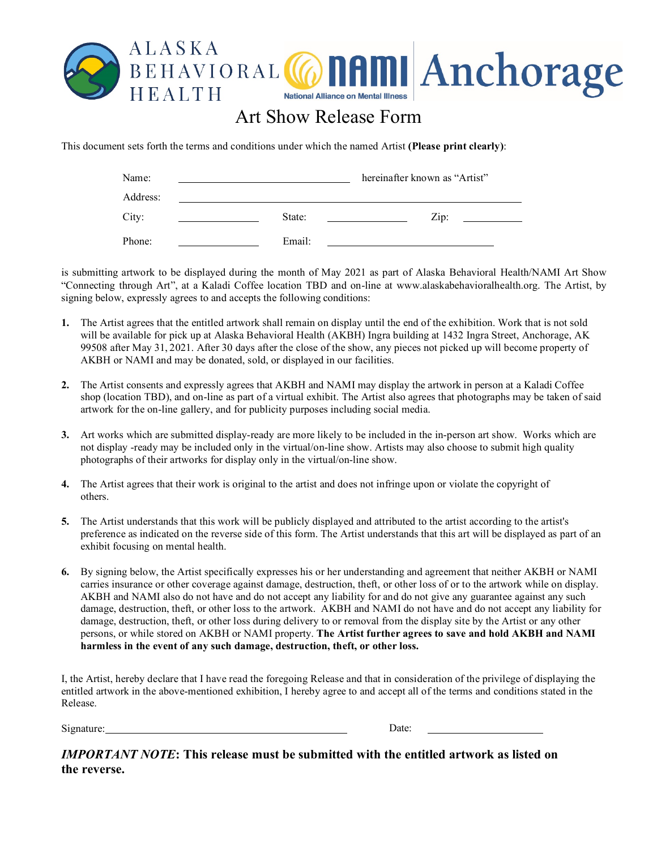

## Art Show Release Form

This document sets forth the terms and conditions under which the named Artist **(Please print clearly)**:

| Name:    |        | hereinafter known as "Artist" |  |
|----------|--------|-------------------------------|--|
| Address: |        |                               |  |
| City:    | State: | $\overline{Lip}$ :            |  |
| Phone:   | Email: |                               |  |

is submitting artwork to be displayed during the month of May 2021 as part of Alaska Behavioral Health/NAMI Art Show "Connecting through Art", at a Kaladi Coffee location TBD and on-line at www.alaskabehavioralhealth.org. The Artist, by signing below, expressly agrees to and accepts the following conditions:

- **1.** The Artist agrees that the entitled artwork shall remain on display until the end of the exhibition. Work that is not sold will be available for pick up at Alaska Behavioral Health (AKBH) Ingra building at 1432 Ingra Street, Anchorage, AK 99508 after May 31, 2021. After 30 days after the close of the show, any pieces not picked up will become property of AKBH or NAMI and may be donated, sold, or displayed in our facilities.
- **2.** The Artist consents and expressly agrees that AKBH and NAMI may display the artwork in person at a Kaladi Coffee shop (location TBD), and on-line as part of a virtual exhibit. The Artist also agrees that photographs may be taken of said artwork for the on-line gallery, and for publicity purposes including social media.
- **3.** Art works which are submitted display-ready are more likely to be included in the in-person art show. Works which are not display -ready may be included only in the virtual/on-line show. Artists may also choose to submit high quality photographs of their artworks for display only in the virtual/on-line show.
- **4.** The Artist agrees that their work is original to the artist and does not infringe upon or violate the copyright of others.
- **5.** The Artist understands that this work will be publicly displayed and attributed to the artist according to the artist's preference as indicated on the reverse side of this form. The Artist understands that this art will be displayed as part of an exhibit focusing on mental health.
- **6.** By signing below, the Artist specifically expresses his or her understanding and agreement that neither AKBH or NAMI carries insurance or other coverage against damage, destruction, theft, or other loss of or to the artwork while on display. AKBH and NAMI also do not have and do not accept any liability for and do not give any guarantee against any such damage, destruction, theft, or other loss to the artwork. AKBH and NAMI do not have and do not accept any liability for damage, destruction, theft, or other loss during delivery to or removal from the display site by the Artist or any other persons, or while stored on AKBH or NAMI property. **The Artist further agrees to save and hold AKBH and NAMI harmless in the event of any such damage, destruction, theft, or other loss.**

I, the Artist, hereby declare that I have read the foregoing Release and that in consideration of the privilege of displaying the entitled artwork in the above-mentioned exhibition, I hereby agree to and accept all of the terms and conditions stated in the Release.

Signature: Date: Date: Date: Date: Date: Date: Date: Date: Date: Date: Date: Date: Date: Date: Date: Date: Date: Date: Date: Date: Date: Date: Date: Date: Date: Date: Date: Date: Date: Date: Date: Date: Date: Date: Date: D

*IMPORTANT NOTE***: This release must be submitted with the entitled artwork as listed on the reverse.**